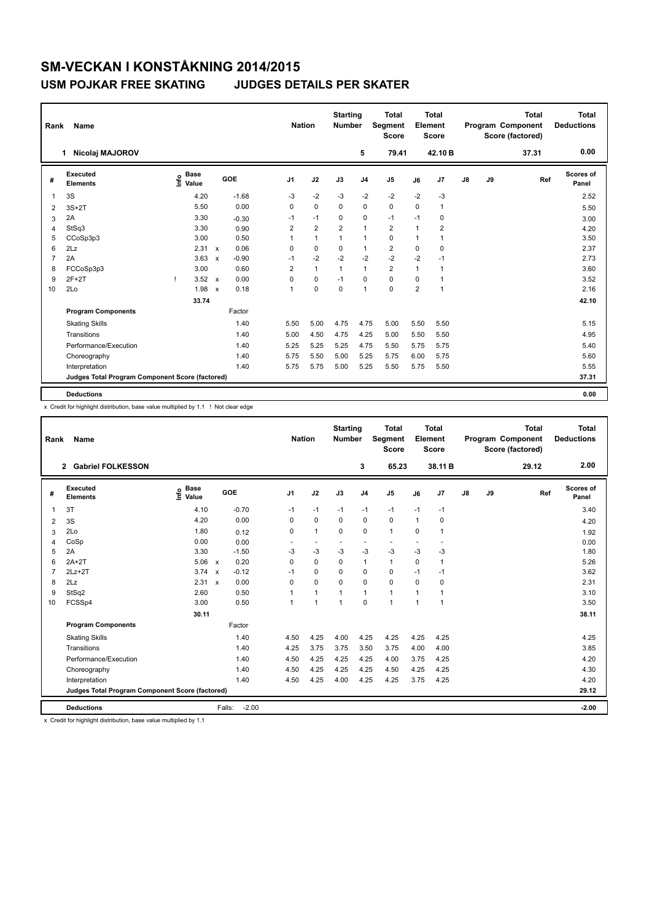## **SM-VECKAN I KONSTÅKNING 2014/2015 USM POJKAR FREE SKATING JUDGES DETAILS PER SKATER**

| Rank           | <b>Name</b>                                     |                                  |                           |         |                | <b>Nation</b>  |                | <b>Starting</b><br><b>Number</b> | <b>Total</b><br>Segment<br><b>Score</b> | <b>Total</b><br>Element<br><b>Score</b> |                |               |    | <b>Total</b><br>Program Component<br>Score (factored) | <b>Total</b><br><b>Deductions</b> |
|----------------|-------------------------------------------------|----------------------------------|---------------------------|---------|----------------|----------------|----------------|----------------------------------|-----------------------------------------|-----------------------------------------|----------------|---------------|----|-------------------------------------------------------|-----------------------------------|
|                | Nicolaj MAJOROV<br>1.                           |                                  |                           |         |                |                |                | 5                                | 79.41                                   |                                         | 42.10 B        |               |    | 37.31                                                 | 0.00                              |
| #              | Executed<br><b>Elements</b>                     | <b>Base</b><br>e Base<br>E Value |                           | GOE     | J <sub>1</sub> | J2             | J3             | J <sub>4</sub>                   | J <sub>5</sub>                          | J6                                      | J7             | $\mathsf{J}8$ | J9 | Ref                                                   | <b>Scores of</b><br>Panel         |
| 1              | 3S                                              | 4.20                             |                           | $-1.68$ | $-3$           | $-2$           | $-3$           | $-2$                             | $-2$                                    | $-2$                                    | $-3$           |               |    |                                                       | 2.52                              |
| 2              | $3S+2T$                                         | 5.50                             |                           | 0.00    | 0              | $\Omega$       | $\Omega$       | $\mathbf 0$                      | $\mathbf 0$                             | $\Omega$                                | $\mathbf{1}$   |               |    |                                                       | 5.50                              |
| 3              | 2A                                              | 3.30                             |                           | $-0.30$ | $-1$           | $-1$           | $\mathbf 0$    | $\mathbf 0$                      | $-1$                                    | $-1$                                    | 0              |               |    |                                                       | 3.00                              |
| $\overline{4}$ | StSq3                                           | 3.30                             |                           | 0.90    | $\overline{2}$ | $\overline{2}$ | $\overline{2}$ | $\mathbf{1}$                     | $\overline{2}$                          | $\mathbf{1}$                            | $\overline{2}$ |               |    |                                                       | 4.20                              |
| 5              | CCoSp3p3                                        | 3.00                             |                           | 0.50    | 1              | $\mathbf{1}$   | $\mathbf{1}$   | $\mathbf{1}$                     | $\mathbf 0$                             | $\mathbf{1}$                            | 1              |               |    |                                                       | 3.50                              |
| 6              | 2Lz                                             | 2.31                             | $\boldsymbol{\mathsf{x}}$ | 0.06    | 0              | $\mathbf 0$    | $\mathbf 0$    | $\mathbf{1}$                     | $\overline{2}$                          | 0                                       | 0              |               |    |                                                       | 2.37                              |
| $\overline{7}$ | 2A                                              | 3.63                             | $\boldsymbol{\mathsf{x}}$ | $-0.90$ | $-1$           | $-2$           | $-2$           | $-2$                             | $-2$                                    | $-2$                                    | $-1$           |               |    |                                                       | 2.73                              |
| 8              | FCCoSp3p3                                       | 3.00                             |                           | 0.60    | $\overline{2}$ | $\mathbf{1}$   | 1              | $\mathbf{1}$                     | $\overline{2}$                          | $\mathbf{1}$                            | $\mathbf{1}$   |               |    |                                                       | 3.60                              |
| 9              | $2F+2T$                                         | 3.52                             | $\mathbf{x}$              | 0.00    | $\Omega$       | $\mathbf 0$    | $-1$           | $\mathbf 0$                      | $\mathbf 0$                             | $\Omega$                                | 1              |               |    |                                                       | 3.52                              |
| 10             | 2Lo                                             | 1.98                             | $\boldsymbol{\mathsf{x}}$ | 0.18    | $\overline{1}$ | $\mathbf 0$    | $\mathbf 0$    | $\mathbf{1}$                     | $\mathbf 0$                             | $\overline{2}$                          | $\overline{1}$ |               |    |                                                       | 2.16                              |
|                |                                                 | 33.74                            |                           |         |                |                |                |                                  |                                         |                                         |                |               |    |                                                       | 42.10                             |
|                | <b>Program Components</b>                       |                                  |                           | Factor  |                |                |                |                                  |                                         |                                         |                |               |    |                                                       |                                   |
|                | <b>Skating Skills</b>                           |                                  |                           | 1.40    | 5.50           | 5.00           | 4.75           | 4.75                             | 5.00                                    | 5.50                                    | 5.50           |               |    |                                                       | 5.15                              |
|                | Transitions                                     |                                  |                           | 1.40    | 5.00           | 4.50           | 4.75           | 4.25                             | 5.00                                    | 5.50                                    | 5.50           |               |    |                                                       | 4.95                              |
|                | Performance/Execution                           |                                  |                           | 1.40    | 5.25           | 5.25           | 5.25           | 4.75                             | 5.50                                    | 5.75                                    | 5.75           |               |    |                                                       | 5.40                              |
|                | Choreography                                    |                                  |                           | 1.40    | 5.75           | 5.50           | 5.00           | 5.25                             | 5.75                                    | 6.00                                    | 5.75           |               |    |                                                       | 5.60                              |
|                | Interpretation                                  |                                  |                           | 1.40    | 5.75           | 5.75           | 5.00           | 5.25                             | 5.50                                    | 5.75                                    | 5.50           |               |    |                                                       | 5.55                              |
|                | Judges Total Program Component Score (factored) |                                  |                           |         |                |                |                |                                  |                                         |                                         |                |               |    |                                                       | 37.31                             |
|                | <b>Deductions</b>                               |                                  |                           |         |                |                |                |                                  |                                         |                                         |                |               |    |                                                       | 0.00                              |

x Credit for highlight distribution, base value multiplied by 1.1 ! Not clear edge

| Rank           | Name                                            |                            | <b>Nation</b>                        |                | <b>Starting</b><br><b>Number</b> | <b>Total</b><br>Segment<br><b>Score</b> | <b>Total</b><br>Element<br><b>Score</b> |                |              |                | <b>Total</b><br>Program Component<br>Score (factored) | <b>Total</b><br><b>Deductions</b> |       |                    |
|----------------|-------------------------------------------------|----------------------------|--------------------------------------|----------------|----------------------------------|-----------------------------------------|-----------------------------------------|----------------|--------------|----------------|-------------------------------------------------------|-----------------------------------|-------|--------------------|
|                | <b>Gabriel FOLKESSON</b><br>$\overline{2}$      |                            |                                      |                |                                  |                                         | 3                                       | 65.23          |              | 38.11 B        |                                                       |                                   | 29.12 | 2.00               |
| #              | Executed<br><b>Elements</b>                     | e Base<br>E Value<br>Value | GOE                                  | J <sub>1</sub> | J2                               | J3                                      | J <sub>4</sub>                          | J <sub>5</sub> | J6           | J7             | J8                                                    | J9                                | Ref   | Scores of<br>Panel |
| $\mathbf{1}$   | 3T                                              | 4.10                       | $-0.70$                              | $-1$           | $-1$                             | $-1$                                    | $-1$                                    | $-1$           | $-1$         | $-1$           |                                                       |                                   |       | 3.40               |
| $\overline{2}$ | 3S                                              | 4.20                       | 0.00                                 | 0              | $\mathbf 0$                      | 0                                       | 0                                       | 0              | $\mathbf{1}$ | 0              |                                                       |                                   |       | 4.20               |
| 3              | 2Lo                                             | 1.80                       | 0.12                                 | $\Omega$       | $\mathbf{1}$                     | $\Omega$                                | $\Omega$                                | $\mathbf{1}$   | $\Omega$     | 1              |                                                       |                                   |       | 1.92               |
| 4              | CoSp                                            | 0.00                       | 0.00                                 |                |                                  |                                         |                                         |                |              |                |                                                       |                                   |       | 0.00               |
| 5              | 2A                                              | 3.30                       | $-1.50$                              | $-3$           | $-3$                             | $-3$                                    | $-3$                                    | $-3$           | $-3$         | $-3$           |                                                       |                                   |       | 1.80               |
| 6              | $2A+2T$                                         | 5.06                       | 0.20<br>$\mathsf{x}$                 | $\mathbf 0$    | $\mathbf 0$                      | $\mathbf 0$                             | $\mathbf{1}$                            | $\mathbf{1}$   | $\mathbf 0$  | $\overline{1}$ |                                                       |                                   |       | 5.26               |
| $\overline{7}$ | $2Lz+2T$                                        | 3.74                       | $-0.12$<br>$\boldsymbol{\mathsf{x}}$ | $-1$           | $\Omega$                         | $\Omega$                                | $\mathbf 0$                             | $\Omega$       | $-1$         | $-1$           |                                                       |                                   |       | 3.62               |
| 8              | 2Lz                                             | 2.31                       | 0.00<br>$\mathbf{x}$                 | $\Omega$       | $\Omega$                         | 0                                       | $\Omega$                                | $\Omega$       | $\Omega$     | $\Omega$       |                                                       |                                   |       | 2.31               |
| 9              | StSq2                                           | 2.60                       | 0.50                                 | $\overline{1}$ | $\mathbf{1}$                     | $\overline{1}$                          | $\mathbf{1}$                            | $\mathbf{1}$   | $\mathbf{1}$ | $\mathbf{1}$   |                                                       |                                   |       | 3.10               |
| 10             | FCSSp4                                          | 3.00                       | 0.50                                 | $\mathbf{1}$   | $\mathbf{1}$                     | $\mathbf{1}$                            | $\Omega$                                | $\mathbf{1}$   | $\mathbf{1}$ | $\overline{1}$ |                                                       |                                   |       | 3.50               |
|                |                                                 | 30.11                      |                                      |                |                                  |                                         |                                         |                |              |                |                                                       |                                   |       | 38.11              |
|                | <b>Program Components</b>                       |                            | Factor                               |                |                                  |                                         |                                         |                |              |                |                                                       |                                   |       |                    |
|                | <b>Skating Skills</b>                           |                            | 1.40                                 | 4.50           | 4.25                             | 4.00                                    | 4.25                                    | 4.25           | 4.25         | 4.25           |                                                       |                                   |       | 4.25               |
|                | Transitions                                     |                            | 1.40                                 | 4.25           | 3.75                             | 3.75                                    | 3.50                                    | 3.75           | 4.00         | 4.00           |                                                       |                                   |       | 3.85               |
|                | Performance/Execution                           |                            | 1.40                                 | 4.50           | 4.25                             | 4.25                                    | 4.25                                    | 4.00           | 3.75         | 4.25           |                                                       |                                   |       | 4.20               |
|                | Choreography                                    |                            | 1.40                                 | 4.50           | 4.25                             | 4.25                                    | 4.25                                    | 4.50           | 4.25         | 4.25           |                                                       |                                   |       | 4.30               |
|                | Interpretation                                  |                            | 1.40                                 | 4.50           | 4.25                             | 4.00                                    | 4.25                                    | 4.25           | 3.75         | 4.25           |                                                       |                                   |       | 4.20               |
|                | Judges Total Program Component Score (factored) |                            |                                      |                |                                  |                                         |                                         |                |              |                |                                                       | 29.12                             |       |                    |
|                | <b>Deductions</b>                               |                            | $-2.00$<br>Falls:                    |                |                                  |                                         |                                         |                |              |                |                                                       |                                   |       | $-2.00$            |

x Credit for highlight distribution, base value multiplied by 1.1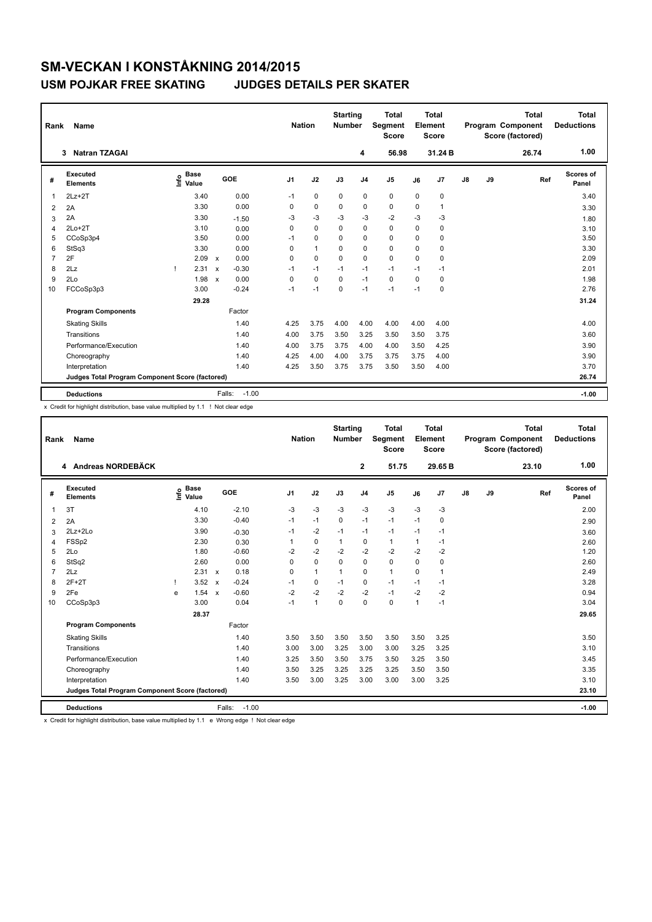## **SM-VECKAN I KONSTÅKNING 2014/2015 USM POJKAR FREE SKATING JUDGES DETAILS PER SKATER**

| <b>Name</b><br>Rank |                                                 |              |                      |                           |         |                | <b>Nation</b> |             | <b>Starting</b><br><b>Number</b> | <b>Total</b><br><b>Segment</b><br><b>Score</b> | <b>Total</b><br>Element<br><b>Score</b> |              | Program Component<br>Score (factored) |    | <b>Total</b> | <b>Total</b><br><b>Deductions</b> |
|---------------------|-------------------------------------------------|--------------|----------------------|---------------------------|---------|----------------|---------------|-------------|----------------------------------|------------------------------------------------|-----------------------------------------|--------------|---------------------------------------|----|--------------|-----------------------------------|
|                     | <b>Natran TZAGAI</b><br>3                       |              |                      |                           |         |                |               |             | 4                                | 56.98                                          |                                         | 31.24 B      |                                       |    | 26.74        | 1.00                              |
| #                   | Executed<br><b>Elements</b>                     | ١nf٥         | <b>Base</b><br>Value |                           | GOE     | J <sub>1</sub> | J2            | J3          | J <sub>4</sub>                   | J <sub>5</sub>                                 | J6                                      | J7           | $\mathsf{J}8$                         | J9 | Ref          | Scores of<br>Panel                |
| $\mathbf 1$         | $2Lz+2T$                                        |              | 3.40                 |                           | 0.00    | $-1$           | $\mathbf 0$   | 0           | 0                                | $\mathbf 0$                                    | $\mathbf 0$                             | 0            |                                       |    |              | 3.40                              |
| $\overline{2}$      | 2A                                              |              | 3.30                 |                           | 0.00    | 0              | $\mathbf 0$   | $\mathbf 0$ | $\mathbf 0$                      | $\mathbf 0$                                    | $\mathbf 0$                             | $\mathbf{1}$ |                                       |    |              | 3.30                              |
| 3                   | 2A                                              |              | 3.30                 |                           | $-1.50$ | -3             | $-3$          | -3          | $-3$                             | $-2$                                           | $-3$                                    | $-3$         |                                       |    |              | 1.80                              |
| 4                   | $2Lo+2T$                                        |              | 3.10                 |                           | 0.00    | 0              | $\Omega$      | $\Omega$    | $\Omega$                         | $\Omega$                                       | $\Omega$                                | $\Omega$     |                                       |    |              | 3.10                              |
| 5                   | CCoSp3p4                                        |              | 3.50                 |                           | 0.00    | $-1$           | $\mathbf 0$   | $\Omega$    | $\mathbf 0$                      | $\mathbf 0$                                    | $\mathbf 0$                             | 0            |                                       |    |              | 3.50                              |
| 6                   | StSq3                                           |              | 3.30                 |                           | 0.00    | 0              | $\mathbf{1}$  | 0           | $\Omega$                         | $\Omega$                                       | $\Omega$                                | $\Omega$     |                                       |    |              | 3.30                              |
| $\overline{7}$      | 2F                                              |              | 2.09                 | $\boldsymbol{\mathsf{x}}$ | 0.00    | $\Omega$       | $\Omega$      | $\Omega$    | $\mathbf 0$                      | $\mathbf 0$                                    | $\Omega$                                | 0            |                                       |    |              | 2.09                              |
| 8                   | 2Lz                                             | $\mathbf{I}$ | 2.31                 | $\boldsymbol{\mathsf{x}}$ | $-0.30$ | $-1$           | $-1$          | $-1$        | $-1$                             | $-1$                                           | $-1$                                    | $-1$         |                                       |    |              | 2.01                              |
| 9                   | 2Lo                                             |              | 1.98                 | $\mathbf x$               | 0.00    | $\Omega$       | $\mathbf 0$   | $\Omega$    | $-1$                             | $\mathbf 0$                                    | $\Omega$                                | $\Omega$     |                                       |    |              | 1.98                              |
| 10                  | FCCoSp3p3                                       |              | 3.00                 |                           | $-0.24$ | $-1$           | $-1$          | $\Omega$    | $-1$                             | $-1$                                           | $-1$                                    | 0            |                                       |    |              | 2.76                              |
|                     |                                                 |              | 29.28                |                           |         |                |               |             |                                  |                                                |                                         |              |                                       |    |              | 31.24                             |
|                     | <b>Program Components</b>                       |              |                      |                           | Factor  |                |               |             |                                  |                                                |                                         |              |                                       |    |              |                                   |
|                     | <b>Skating Skills</b>                           |              |                      |                           | 1.40    | 4.25           | 3.75          | 4.00        | 4.00                             | 4.00                                           | 4.00                                    | 4.00         |                                       |    |              | 4.00                              |
|                     | Transitions                                     |              |                      |                           | 1.40    | 4.00           | 3.75          | 3.50        | 3.25                             | 3.50                                           | 3.50                                    | 3.75         |                                       |    |              | 3.60                              |
|                     | Performance/Execution                           |              |                      |                           | 1.40    | 4.00           | 3.75          | 3.75        | 4.00                             | 4.00                                           | 3.50                                    | 4.25         |                                       |    |              | 3.90                              |
|                     | Choreography                                    |              |                      |                           | 1.40    | 4.25           | 4.00          | 4.00        | 3.75                             | 3.75                                           | 3.75                                    | 4.00         |                                       |    |              | 3.90                              |
|                     | Interpretation                                  |              |                      |                           | 1.40    | 4.25           | 3.50          | 3.75        | 3.75                             | 3.50                                           | 3.50                                    | 4.00         |                                       |    |              | 3.70                              |
|                     | Judges Total Program Component Score (factored) |              |                      |                           |         |                |               |             |                                  |                                                |                                         | 26.74        |                                       |    |              |                                   |
|                     | <b>Deductions</b>                               |              |                      | Falls:                    | $-1.00$ |                |               |             |                                  |                                                |                                         |              |                                       |    |              | $-1.00$                           |

x Credit for highlight distribution, base value multiplied by 1.1 ! Not clear edge

|                | Rank<br><b>Name</b>                             |    |                      |                           |                   |                |              | <b>Starting</b><br><b>Number</b> |                | <b>Total</b><br>Segment<br><b>Score</b> | Total<br>Element<br><b>Score</b> |                |               |    | <b>Total</b><br>Program Component<br>Score (factored) | <b>Total</b><br><b>Deductions</b> |
|----------------|-------------------------------------------------|----|----------------------|---------------------------|-------------------|----------------|--------------|----------------------------------|----------------|-----------------------------------------|----------------------------------|----------------|---------------|----|-------------------------------------------------------|-----------------------------------|
|                | 4 Andreas NORDEBÄCK                             |    |                      |                           |                   |                |              |                                  | $\mathbf{2}$   | 51.75                                   |                                  | 29.65 B        |               |    | 23.10                                                 | 1.00                              |
| #              | Executed<br><b>Elements</b>                     | ۴ô | <b>Base</b><br>Value |                           | GOE               | J <sub>1</sub> | J2           | J3                               | J <sub>4</sub> | J <sub>5</sub>                          | J6                               | J <sub>7</sub> | $\mathsf{J}8$ | J9 | Ref                                                   | <b>Scores of</b><br>Panel         |
| $\overline{1}$ | 3T                                              |    | 4.10                 |                           | $-2.10$           | $-3$           | $-3$         | $-3$                             | $-3$           | $-3$                                    | $-3$                             | $-3$           |               |    |                                                       | 2.00                              |
| 2              | 2A                                              |    | 3.30                 |                           | $-0.40$           | $-1$           | $-1$         | $\Omega$                         | $-1$           | $-1$                                    | $-1$                             | 0              |               |    |                                                       | 2.90                              |
| 3              | $2Lz + 2Lo$                                     |    | 3.90                 |                           | $-0.30$           | $-1$           | $-2$         | $-1$                             | $-1$           | $-1$                                    | $-1$                             | $-1$           |               |    |                                                       | 3.60                              |
| $\overline{4}$ | FSSp2                                           |    | 2.30                 |                           | 0.30              |                | $\mathbf 0$  | $\mathbf{1}$                     | $\mathbf 0$    | $\mathbf{1}$                            | 1                                | $-1$           |               |    |                                                       | 2.60                              |
| 5              | 2Lo                                             |    | 1.80                 |                           | $-0.60$           | $-2$           | $-2$         | $-2$                             | $-2$           | $-2$                                    | $-2$                             | $-2$           |               |    |                                                       | 1.20                              |
| 6              | StSq2                                           |    | 2.60                 |                           | 0.00              | $\Omega$       | $\mathbf 0$  | $\Omega$                         | $\mathbf 0$    | $\Omega$                                | 0                                | $\mathbf 0$    |               |    |                                                       | 2.60                              |
| $\overline{7}$ | 2Lz                                             |    | 2.31                 | $\boldsymbol{\mathsf{x}}$ | 0.18              | $\Omega$       | $\mathbf{1}$ | $\mathbf{1}$                     | $\mathbf 0$    | $\mathbf{1}$                            | 0                                | 1              |               |    |                                                       | 2.49                              |
| 8              | $2F+2T$                                         |    | 3.52                 | $\boldsymbol{\mathsf{x}}$ | $-0.24$           | $-1$           | $\mathbf 0$  | $-1$                             | $\mathbf 0$    | $-1$                                    | $-1$                             | $-1$           |               |    |                                                       | 3.28                              |
| 9              | 2Fe                                             | e  | 1.54                 | $\mathsf{x}$              | $-0.60$           | $-2$           | $-2$         | $-2$                             | $-2$           | $-1$                                    | $-2$                             | $-2$           |               |    |                                                       | 0.94                              |
| 10             | CCoSp3p3                                        |    | 3.00                 |                           | 0.04              | $-1$           | 1            | $\Omega$                         | $\Omega$       | $\Omega$                                | 1                                | $-1$           |               |    |                                                       | 3.04                              |
|                |                                                 |    | 28.37                |                           |                   |                |              |                                  |                |                                         |                                  |                |               |    |                                                       | 29.65                             |
|                | <b>Program Components</b>                       |    |                      |                           | Factor            |                |              |                                  |                |                                         |                                  |                |               |    |                                                       |                                   |
|                | <b>Skating Skills</b>                           |    |                      |                           | 1.40              | 3.50           | 3.50         | 3.50                             | 3.50           | 3.50                                    | 3.50                             | 3.25           |               |    |                                                       | 3.50                              |
|                | Transitions                                     |    |                      |                           | 1.40              | 3.00           | 3.00         | 3.25                             | 3.00           | 3.00                                    | 3.25                             | 3.25           |               |    |                                                       | 3.10                              |
|                | Performance/Execution                           |    |                      |                           | 1.40              | 3.25           | 3.50         | 3.50                             | 3.75           | 3.50                                    | 3.25                             | 3.50           |               |    |                                                       | 3.45                              |
|                | Choreography                                    |    |                      |                           | 1.40              | 3.50           | 3.25         | 3.25                             | 3.25           | 3.25                                    | 3.50                             | 3.50           |               |    |                                                       | 3.35                              |
|                | Interpretation                                  |    |                      |                           | 1.40              | 3.50           | 3.00         | 3.25                             | 3.00           | 3.00                                    | 3.00                             | 3.25           |               |    |                                                       | 3.10                              |
|                | Judges Total Program Component Score (factored) |    |                      |                           |                   |                |              |                                  |                |                                         |                                  |                |               |    |                                                       | 23.10                             |
|                | <b>Deductions</b>                               |    |                      |                           | $-1.00$<br>Falls: |                |              |                                  |                |                                         |                                  |                |               |    |                                                       | $-1.00$                           |

x Credit for highlight distribution, base value multiplied by 1.1 e Wrong edge ! Not clear edge